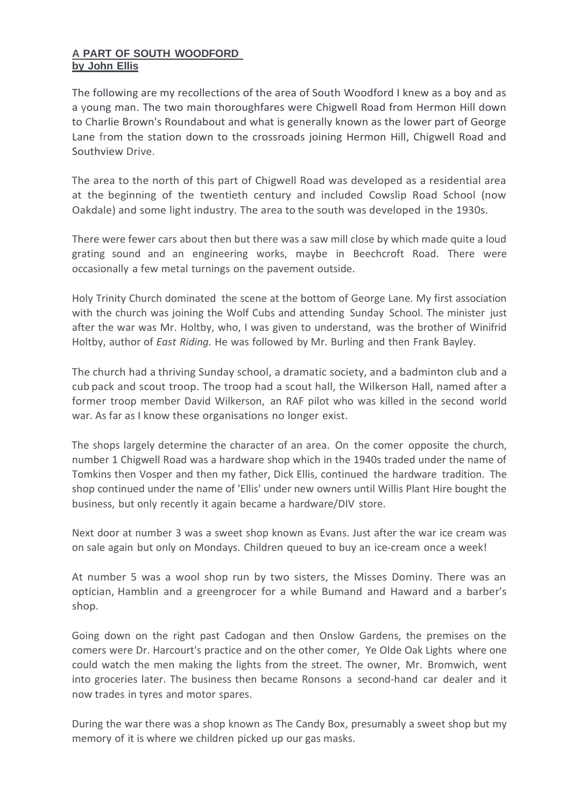## **A PART OF SOUTH WOODFORD by John Ellis**

The following are my recollections of the area of South Woodford I knew as a boy and as a young man. The two main thoroughfares were Chigwell Road from Hermon Hill down to Charlie Brown's Roundabout and what is generally known as the lower part of George Lane from the station down to the crossroads joining Hermon Hill, Chigwell Road and Southview Drive.

The area to the north of this part of Chigwell Road was developed as a residential area at the beginning of the twentieth century and included Cowslip Road School (now Oakdale) and some light industry. The area to the south was developed in the 1930s.

There were fewer cars about then but there was a saw mill close by which made quite a loud grating sound and an engineering works, maybe in Beechcroft Road. There were occasionally a few metal turnings on the pavement outside.

Holy Trinity Church dominated the scene at the bottom of George Lane. My first association with the church was joining the Wolf Cubs and attending Sunday School. The minister just after the war was Mr. Holtby, who, I was given to understand, was the brother of Winifrid Holtby, author of *East Riding.* He was followed by Mr. Burling and then Frank Bayley.

The church had a thriving Sunday school, a dramatic society, and a badminton club and a cub pack and scout troop. The troop had a scout hall, the Wilkerson Hall, named after a former troop member David Wilkerson, an RAF pilot who was killed in the second world war. As far as I know these organisations no longer exist.

The shops largely determine the character of an area. On the comer opposite the church, number 1 Chigwell Road was a hardware shop which in the 1940s traded under the name of Tomkins then Vosper and then my father, Dick Ellis, continued the hardware tradition. The shop continued under the name of 'Ellis' under new owners until Willis Plant Hire bought the business, but only recently it again became a hardware/DIV store.

Next door at number 3 was a sweet shop known as Evans. Just after the war ice cream was on sale again but only on Mondays. Children queued to buy an ice-cream once a week!

At number 5 was a wool shop run by two sisters, the Misses Dominy. There was an optician, Hamblin and a greengrocer for a while Bumand and Haward and a barber's shop.

Going down on the right past Cadogan and then Onslow Gardens, the premises on the comers were Dr. Harcourt's practice and on the other comer, Ye Olde Oak Lights where one could watch the men making the lights from the street. The owner, Mr. Bromwich, went into groceries later. The business then became Ronsons a second-hand car dealer and it now trades in tyres and motor spares.

During the war there was a shop known as The Candy Box, presumably a sweet shop but my memory of it is where we children picked up our gas masks.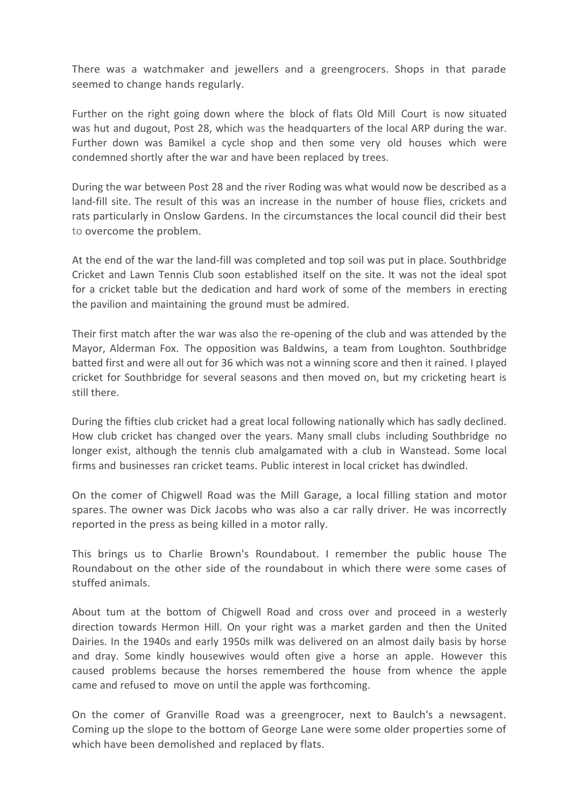There was a watchmaker and jewellers and a greengrocers. Shops in that parade seemed to change hands regularly.

Further on the right going down where the block of flats Old Mill Court is now situated was hut and dugout, Post 28, which was the headquarters of the local ARP during the war. Further down was Bamikel a cycle shop and then some very old houses which were condemned shortly after the war and have been replaced by trees.

During the war between Post 28 and the river Roding was what would now be described as a land-fill site. The result of this was an increase in the number of house flies, crickets and rats particularly in Onslow Gardens. In the circumstances the local council did their best to overcome the problem.

At the end of the war the land-fill was completed and top soil was put in place. Southbridge Cricket and Lawn Tennis Club soon established itself on the site. It was not the ideal spot for a cricket table but the dedication and hard work of some of the members in erecting the pavilion and maintaining the ground must be admired.

Their first match after the war was also the re-opening of the club and was attended by the Mayor, Alderman Fox. The opposition was Baldwins, a team from Loughton. Southbridge batted first and were all out for 36 which was not a winning score and then it rained. I played cricket for Southbridge for several seasons and then moved on, but my cricketing heart is still there.

During the fifties club cricket had a great local following nationally which has sadly declined. How club cricket has changed over the years. Many small clubs including Southbridge no longer exist, although the tennis club amalgamated with a club in Wanstead. Some local firms and businesses ran cricket teams. Public interest in local cricket has dwindled.

On the comer of Chigwell Road was the Mill Garage, a local filling station and motor spares. The owner was Dick Jacobs who was also a car rally driver. He was incorrectly reported in the press as being killed in a motor rally.

This brings us to Charlie Brown's Roundabout. I remember the public house The Roundabout on the other side of the roundabout in which there were some cases of stuffed animals.

About tum at the bottom of Chigwell Road and cross over and proceed in a westerly direction towards Hermon Hill. On your right was a market garden and then the United Dairies. In the 1940s and early 1950s milk was delivered on an almost daily basis by horse and dray. Some kindly housewives would often give a horse an apple. However this caused problems because the horses remembered the house from whence the apple came and refused to move on until the apple was forthcoming.

On the comer of Granville Road was a greengrocer, next to Baulch's a newsagent. Coming up the slope to the bottom of George Lane were some older properties some of which have been demolished and replaced by flats.